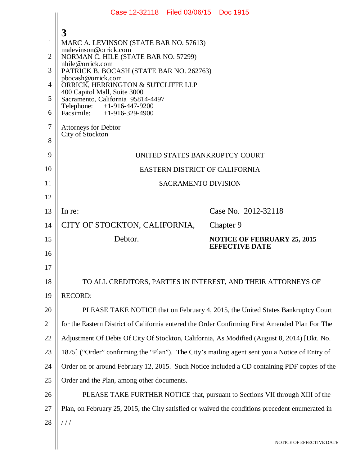|    | Case 12-32118 Filed 03/06/15 Doc 1915                                                           |                                                             |  |
|----|-------------------------------------------------------------------------------------------------|-------------------------------------------------------------|--|
|    | 3                                                                                               |                                                             |  |
| 1  | MARC A. LEVINSON (STATE BAR NO. 57613)                                                          |                                                             |  |
| 2  | malevinson@orrick.com<br>NORMAN C. HILE (STATE BAR NO. 57299)                                   |                                                             |  |
| 3  | nhile@orrick.com<br>PATRICK B. BOCASH (STATE BAR NO. 262763)                                    |                                                             |  |
| 4  | pbocash@orrick.com<br>ORRICK, HERRINGTON & SUTCLIFFE LLP                                        |                                                             |  |
| 5  | 400 Capitol Mall, Suite 3000<br>Sacramento, California 95814-4497                               |                                                             |  |
| 6  | Telephone: +1-916-447-9200<br>Facsimile: +1-916-329-4900                                        |                                                             |  |
| 7  | <b>Attorneys for Debtor</b>                                                                     |                                                             |  |
| 8  | City of Stockton                                                                                |                                                             |  |
| 9  | UNITED STATES BANKRUPTCY COURT                                                                  |                                                             |  |
| 10 | EASTERN DISTRICT OF CALIFORNIA                                                                  |                                                             |  |
| 11 | <b>SACRAMENTO DIVISION</b>                                                                      |                                                             |  |
| 12 |                                                                                                 |                                                             |  |
| 13 | In re:                                                                                          | Case No. 2012-32118                                         |  |
| 14 | CITY OF STOCKTON, CALIFORNIA,                                                                   | Chapter 9                                                   |  |
| 15 | Debtor.                                                                                         | <b>NOTICE OF FEBRUARY 25, 2015</b><br><b>EFFECTIVE DATE</b> |  |
| 16 |                                                                                                 |                                                             |  |
| 17 |                                                                                                 |                                                             |  |
| 18 | TO ALL CREDITORS, PARTIES IN INTEREST, AND THEIR ATTORNEYS OF                                   |                                                             |  |
| 19 | <b>RECORD:</b>                                                                                  |                                                             |  |
| 20 | PLEASE TAKE NOTICE that on February 4, 2015, the United States Bankruptcy Court                 |                                                             |  |
| 21 | for the Eastern District of California entered the Order Confirming First Amended Plan For The  |                                                             |  |
| 22 | Adjustment Of Debts Of City Of Stockton, California, As Modified (August 8, 2014) [Dkt. No.     |                                                             |  |
| 23 | 1875] ("Order" confirming the "Plan"). The City's mailing agent sent you a Notice of Entry of   |                                                             |  |
| 24 | Order on or around February 12, 2015. Such Notice included a CD containing PDF copies of the    |                                                             |  |
| 25 | Order and the Plan, among other documents.                                                      |                                                             |  |
| 26 | PLEASE TAKE FURTHER NOTICE that, pursuant to Sections VII through XIII of the                   |                                                             |  |
| 27 | Plan, on February 25, 2015, the City satisfied or waived the conditions precedent enumerated in |                                                             |  |
| 28 | 111                                                                                             |                                                             |  |
|    |                                                                                                 | NOTICE OF EFFECTIVE DATE                                    |  |
|    |                                                                                                 |                                                             |  |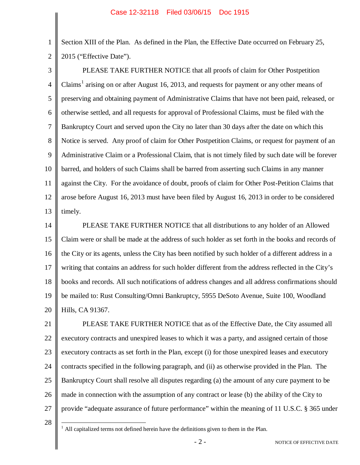Section XIII of the Plan. As defined in the Plan, the Effective Date occurred on February 25, 2015 ("Effective Date").

3 4 5 6 7 8 9 10 11 12 13 PLEASE TAKE FURTHER NOTICE that all proofs of claim for Other Postpetition Claims<sup>1</sup> arising on or after August 16, 2013, and requests for payment or any other means of preserving and obtaining payment of Administrative Claims that have not been paid, released, or otherwise settled, and all requests for approval of Professional Claims, must be filed with the Bankruptcy Court and served upon the City no later than 30 days after the date on which this Notice is served. Any proof of claim for Other Postpetition Claims, or request for payment of an Administrative Claim or a Professional Claim, that is not timely filed by such date will be forever barred, and holders of such Claims shall be barred from asserting such Claims in any manner against the City. For the avoidance of doubt, proofs of claim for Other Post-Petition Claims that arose before August 16, 2013 must have been filed by August 16, 2013 in order to be considered timely.

14 15 16 17 18 19 20 PLEASE TAKE FURTHER NOTICE that all distributions to any holder of an Allowed Claim were or shall be made at the address of such holder as set forth in the books and records of the City or its agents, unless the City has been notified by such holder of a different address in a writing that contains an address for such holder different from the address reflected in the City's books and records. All such notifications of address changes and all address confirmations should be mailed to: Rust Consulting/Omni Bankruptcy, 5955 DeSoto Avenue, Suite 100, Woodland Hills, CA 91367.

21 22 23 24 25 26 27 PLEASE TAKE FURTHER NOTICE that as of the Effective Date, the City assumed all executory contracts and unexpired leases to which it was a party, and assigned certain of those executory contracts as set forth in the Plan, except (i) for those unexpired leases and executory contracts specified in the following paragraph, and (ii) as otherwise provided in the Plan. The Bankruptcy Court shall resolve all disputes regarding (a) the amount of any cure payment to be made in connection with the assumption of any contract or lease (b) the ability of the City to provide "adequate assurance of future performance" within the meaning of 11 U.S.C. § 365 under

28

1

2

All capitalized terms not defined herein have the definitions given to them in the Plan.